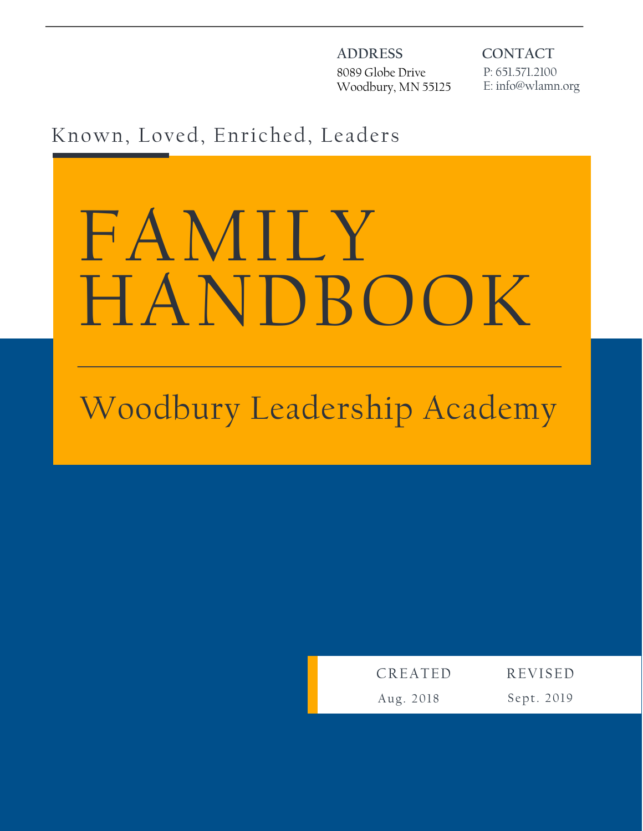**ADDRESS** 8089 Globe Drive Woodbury, MN 55125 **CONTACT** P: 651.571.2100 E: info@wlamn.org

# Known, Loved, Enriched, Leaders

# FAMILY HANDBOOK

# Woodbury Leadership Academy

| CREATED   | <b>REVISED</b> |
|-----------|----------------|
| Aug. 2018 | Sept. 2019     |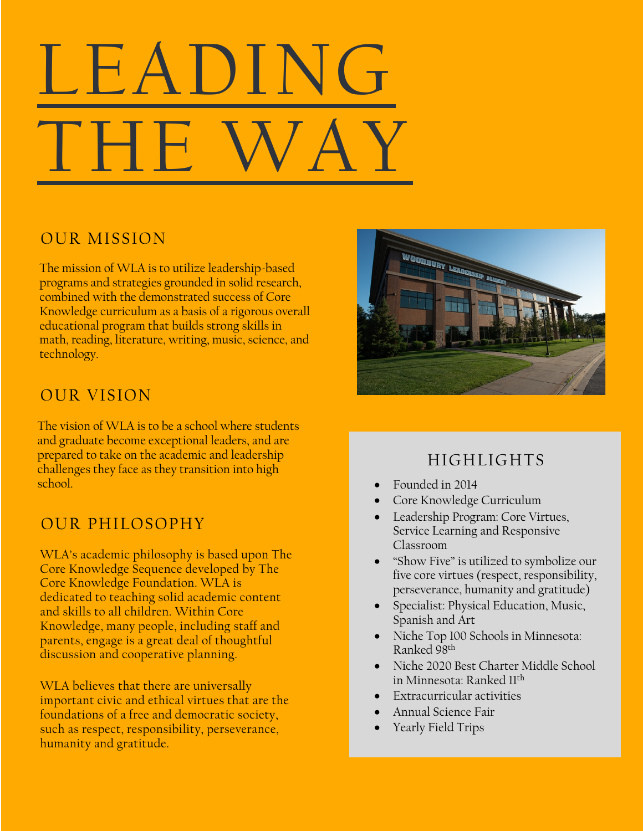# educational program that builds strong skills in math, reading, literature, writing, music, science, and technology. LEADING THE

# OUR MISSION

The mission of WLA is to utilize leadership-based programs and strategies grounded in solid research, combined with the demonstrated success of Core Knowledge curriculum as a basis of a rigorous overall educational program that builds strong skills in math, reading, literature, writing, music, science, and technology.

# OUR VISION

The vision of WLA is to be a school where students and graduate become exceptional leaders, and are prepared to take on the academic and leadership challenges they face as they transition into high school.

# OUR PHILOSOPHY

WLA's academic philosophy is based upon The Core Knowledge Sequence developed by The Core Knowledge Foundation. WLA is dedicated to teaching solid academic content and skills to all children. Within Core Knowledge, many people, including staff and parents, engage is a great deal of thoughtful discussion and cooperative planning.

important civic and ethical virtues that are the Our Students: WLA believes that there are universally foundations of a free and democratic society, such as respect, responsibility, perseverance, humanity and gratitude.



# HIGHLIGHTS

- Founded in 2014
- Core Knowledge Curriculum
- Leadership Program: Core Virtues, Service Learning and Responsive Classroom
- "Show Five" is utilized to symbolize our five core virtues (respect, responsibility, perseverance, humanity and gratitude)
- Specialist: Physical Education, Music, Spanish and Art
- Niche Top 100 Schools in Minnesota: Ranked 98th
- Niche 2020 Best Charter Middle School in Minnesota: Ranked 11th
- Extracurricular activities
- Annual Science Fair
- Yearly Field Trips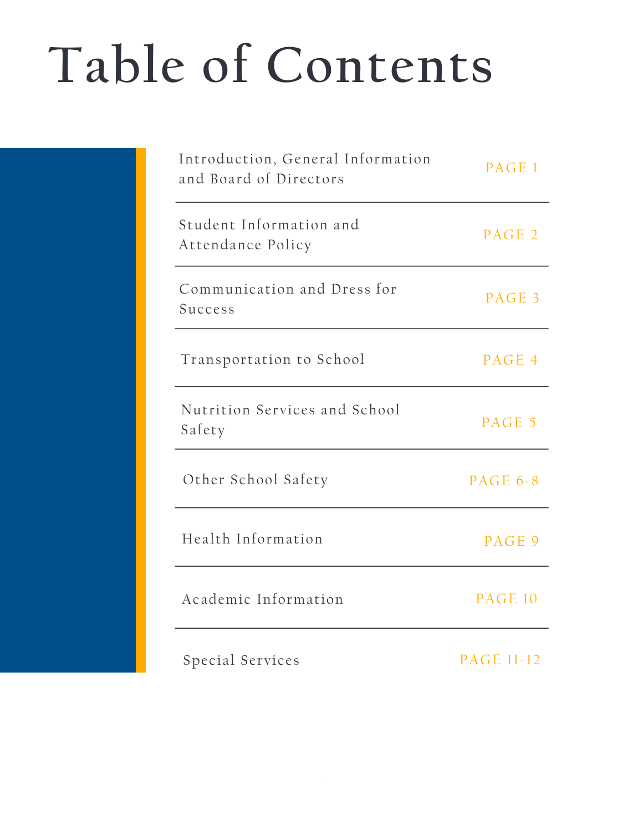# **Table of Contents**

| Introduction, General Information<br>and Board of Directors | PAGE 1            |
|-------------------------------------------------------------|-------------------|
| Student Information and<br>Attendance Policy                | PAGE 2            |
| Communication and Dress for<br>Success                      | PAGE 3            |
| Transportation to School                                    | PAGE 4            |
| Nutrition Services and School<br>Safety                     | PAGE 5            |
| Other School Safety                                         | PAGE $6-8$        |
| Health Information                                          | PAGE 9            |
| Academic Information                                        | PAGE 10           |
| Special Services                                            | <b>PAGE 11-12</b> |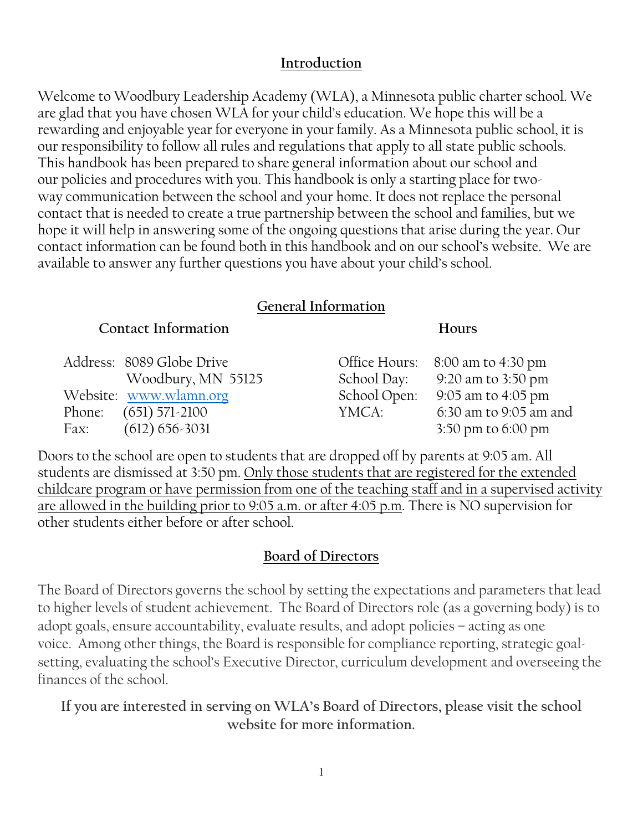#### **Introduction**

Welcome to Woodbury Leadership Academy (WLA), a Minnesota public charter school. We are glad that you have chosen WLA for your child's education. We hope this will be a rewarding and enjoyable year for everyone in your family. As a Minnesota public school, it is our responsibility to follow all rules and regulations that apply to all state public schools. This handbook has been prepared to share general information about our school and our policies and procedures with you. This handbook is only a starting place for twoway communication between the school and your home. It does not replace the personal contact that is needed to create a true partnership between the school and families, but we hope it will help in answering some of the ongoing questions that arise during the year. Our contact information can be found both in this handbook and on our school's website. We are available to answer any further questions you have about your child's school.

#### **General Information**

| <b>Contact Information</b> |  |
|----------------------------|--|
|----------------------------|--|

Address: 8089 Globe Drive Woodbury, MN 55125 Website: www.wlamn.org Phone: (651) 571-2100 Fax: (612) 656-3031

**Hours**

| Office Hours: | 8:00 am to 4:30 pm     |
|---------------|------------------------|
| School Day:   | 9:20 am to 3:50 pm     |
| School Open:  | 9:05 am to 4:05 pm     |
| YMCA:         | 6:30 am to 9:05 am and |
|               | 3:50 pm to 6:00 pm     |

Doors to the school are open to students that are dropped off by parents at 9:05 am. All students are dismissed at 3:50 pm. Only those students that are registered for the extended childcare program or have permission from one of the teaching staff and in a supervised activity are allowed in the building prior to 9:05 a.m. or after 4:05 p.m. There is NO supervision for other students either before or after school.

#### **Board of Directors**

The Board of Directors governs the school by setting the expectations and parameters that lead to higher levels of student achievement. The Board of Directors role (as a governing body) is to adopt goals, ensure accountability, evaluate results, and adopt policies – acting as one voice. Among other things, the Board is responsible for compliance reporting, strategic goalsetting, evaluating the school's Executive Director, curriculum development and overseeing the finances of the school.

**If you are interested in serving on WLA's Board of Directors, please visit the school website for more information.**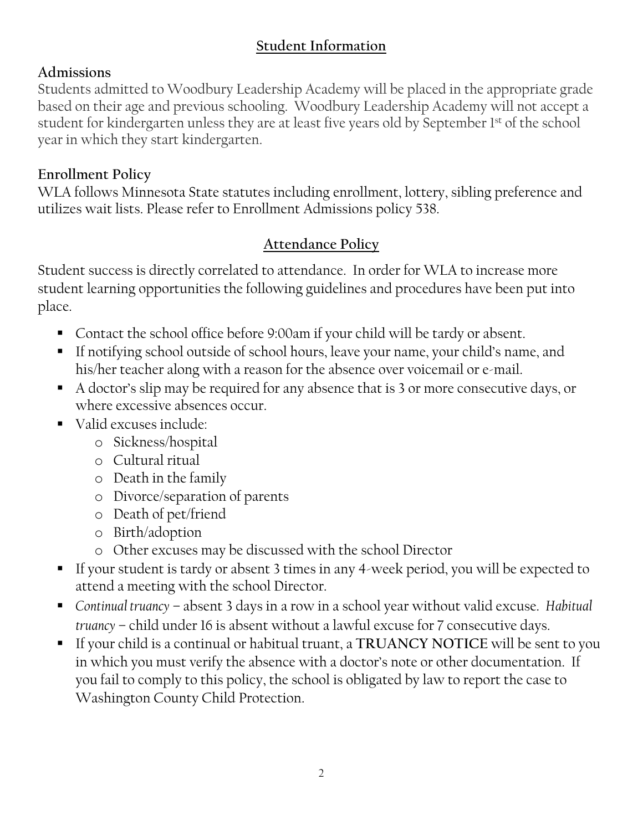## **Student Information**

## **Admissions**

Students admitted to Woodbury Leadership Academy will be placed in the appropriate grade based on their age and previous schooling. Woodbury Leadership Academy will not accept a student for kindergarten unless they are at least five years old by September 1<sup>st</sup> of the school year in which they start kindergarten.

# **Enrollment Policy**

WLA follows Minnesota State statutes including enrollment, lottery, sibling preference and utilizes wait lists. Please refer to Enrollment Admissions policy 538.

# **Attendance Policy**

Student success is directly correlated to attendance. In order for WLA to increase more student learning opportunities the following guidelines and procedures have been put into place.

- Contact the school office before 9:00am if your child will be tardy or absent.
- If notifying school outside of school hours, leave your name, your child's name, and his/her teacher along with a reason for the absence over voicemail or e-mail.
- A doctor's slip may be required for any absence that is 3 or more consecutive days, or where excessive absences occur.
- Valid excuses include:
	- o Sickness/hospital
	- o Cultural ritual
	- o Death in the family
	- o Divorce/separation of parents
	- o Death of pet/friend
	- o Birth/adoption
	- o Other excuses may be discussed with the school Director
- If your student is tardy or absent 3 times in any 4-week period, you will be expected to attend a meeting with the school Director.
- § *Continual truancy* absent 3 days in a row in a school year without valid excuse. *Habitual truancy* – child under 16 is absent without a lawful excuse for 7 consecutive days.
- § If your child is a continual or habitual truant, a **TRUANCY NOTICE** will be sent to you in which you must verify the absence with a doctor's note or other documentation. If you fail to comply to this policy, the school is obligated by law to report the case to Washington County Child Protection.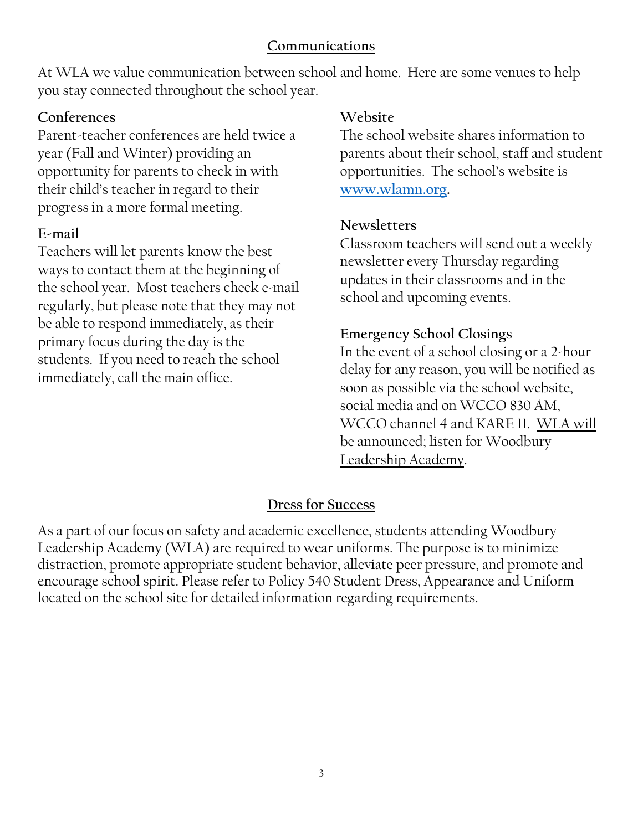#### **Communications**

At WLA we value communication between school and home. Here are some venues to help you stay connected throughout the school year.

#### **Conferences**

Parent-teacher conferences are held twice a year (Fall and Winter) providing an opportunity for parents to check in with their child's teacher in regard to their progress in a more formal meeting.

### **E-mail**

Teachers will let parents know the best ways to contact them at the beginning of the school year. Most teachers check e-mail regularly, but please note that they may not be able to respond immediately, as their primary focus during the day is the students. If you need to reach the school immediately, call the main office.

#### **Website**

The school website shares information to parents about their school, staff and student opportunities. The school's website is **www.wlamn.org.**

#### **Newsletters**

Classroom teachers will send out a weekly newsletter every Thursday regarding updates in their classrooms and in the school and upcoming events.

### **Emergency School Closings**

In the event of a school closing or a 2-hour delay for any reason, you will be notified as soon as possible via the school website, social media and on WCCO 830 AM, WCCO channel 4 and KARE 11. WLA will be announced; listen for Woodbury Leadership Academy.

### **Dress for Success**

As a part of our focus on safety and academic excellence, students attending Woodbury Leadership Academy (WLA) are required to wear uniforms. The purpose is to minimize distraction, promote appropriate student behavior, alleviate peer pressure, and promote and encourage school spirit. Please refer to Policy 540 Student Dress, Appearance and Uniform located on the school site for detailed information regarding requirements.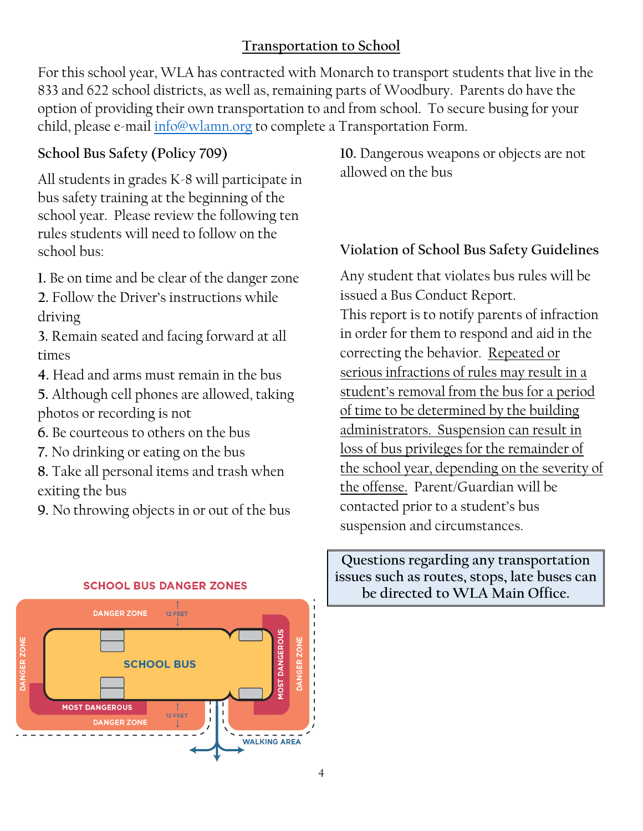# **Transportation to School**

For this school year, WLA has contracted with Monarch to transport students that live in the 833 and 622 school districts, as well as, remaining parts of Woodbury. Parents do have the option of providing their own transportation to and from school. To secure busing for your child, please e-mail info@wlamn.org to complete a Transportation Form.

### **School Bus Safety (Policy 709)**

All students in grades K-8 will participate in bus safety training at the beginning of the school year. Please review the following ten rules students will need to follow on the school bus:

**1.** Be on time and be clear of the danger zone

**2.** Follow the Driver's instructions while driving

**3.** Remain seated and facing forward at all times

**4.** Head and arms must remain in the bus

**5.** Although cell phones are allowed, taking photos or recording is not

**6.** Be courteous to others on the bus

**7.** No drinking or eating on the bus

**8.** Take all personal items and trash when exiting the bus

**9.** No throwing objects in or out of the bus

**10.** Dangerous weapons or objects are not allowed on the bus

#### **Violation of School Bus Safety Guidelines**

Any student that violates bus rules will be issued a Bus Conduct Report. This report is to notify parents of infraction in order for them to respond and aid in the correcting the behavior. Repeated or serious infractions of rules may result in a student's removal from the bus for a period of time to be determined by the building administrators. Suspension can result in loss of bus privileges for the remainder of the school year, depending on the severity of the offense. Parent/Guardian will be contacted prior to a student's bus suspension and circumstances.

**Questions regarding any transportation issues such as routes, stops, late buses can be directed to WLA Main Office.**



#### **SCHOOL BUS DANGER ZONES**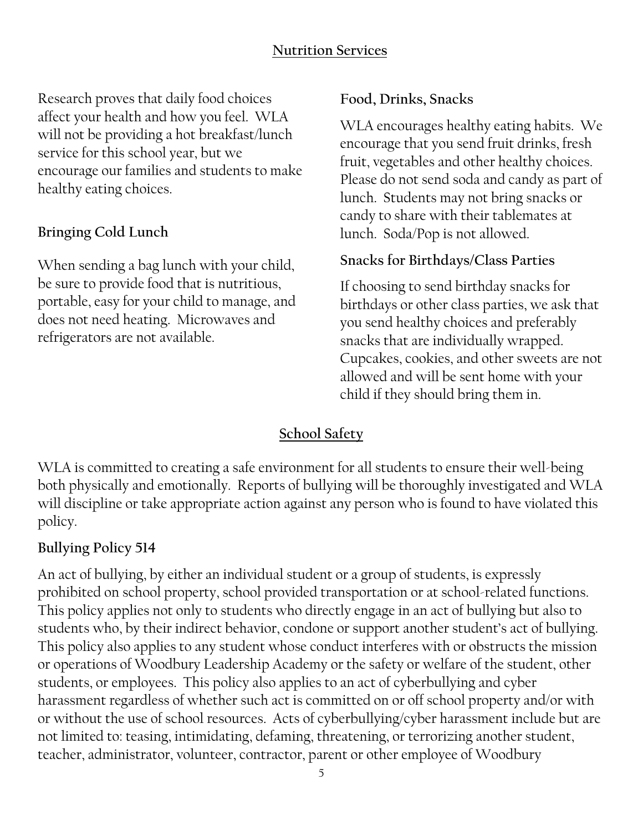# **Nutrition Services**

Research proves that daily food choices affect your health and how you feel. WLA will not be providing a hot breakfast/lunch service for this school year, but we encourage our families and students to make healthy eating choices.

#### **Bringing Cold Lunch**

When sending a bag lunch with your child, be sure to provide food that is nutritious, portable, easy for your child to manage, and does not need heating. Microwaves and refrigerators are not available.

#### **Food, Drinks, Snacks**

WLA encourages healthy eating habits. We encourage that you send fruit drinks, fresh fruit, vegetables and other healthy choices. Please do not send soda and candy as part of lunch. Students may not bring snacks or candy to share with their tablemates at lunch. Soda/Pop is not allowed.

#### **Snacks for Birthdays/Class Parties**

If choosing to send birthday snacks for birthdays or other class parties, we ask that you send healthy choices and preferably snacks that are individually wrapped. Cupcakes, cookies, and other sweets are not allowed and will be sent home with your child if they should bring them in.

#### **School Safety**

WLA is committed to creating a safe environment for all students to ensure their well-being both physically and emotionally. Reports of bullying will be thoroughly investigated and WLA will discipline or take appropriate action against any person who is found to have violated this policy.

#### **Bullying Policy 514**

An act of bullying, by either an individual student or a group of students, is expressly prohibited on school property, school provided transportation or at school-related functions. This policy applies not only to students who directly engage in an act of bullying but also to students who, by their indirect behavior, condone or support another student's act of bullying. This policy also applies to any student whose conduct interferes with or obstructs the mission or operations of Woodbury Leadership Academy or the safety or welfare of the student, other students, or employees. This policy also applies to an act of cyberbullying and cyber harassment regardless of whether such act is committed on or off school property and/or with or without the use of school resources. Acts of cyberbullying/cyber harassment include but are not limited to: teasing, intimidating, defaming, threatening, or terrorizing another student, teacher, administrator, volunteer, contractor, parent or other employee of Woodbury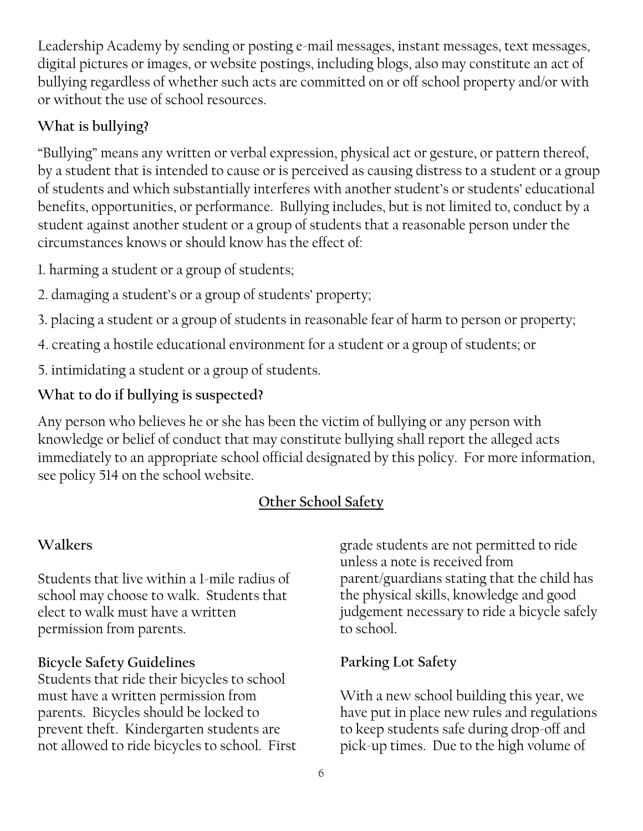Leadership Academy by sending or posting e-mail messages, instant messages, text messages, digital pictures or images, or website postings, including blogs, also may constitute an act of bullying regardless of whether such acts are committed on or off school property and/or with or without the use of school resources.

# **What is bullying?**

"Bullying" means any written or verbal expression, physical act or gesture, or pattern thereof, by a student that is intended to cause or is perceived as causing distress to a student or a group of students and which substantially interferes with another student's or students' educational benefits, opportunities, or performance. Bullying includes, but is not limited to, conduct by a student against another student or a group of students that a reasonable person under the circumstances knows or should know has the effect of:

1. harming a student or a group of students;

2. damaging a student's or a group of students' property;

3. placing a student or a group of students in reasonable fear of harm to person or property;

- 4. creating a hostile educational environment for a student or a group of students; or
- 5. intimidating a student or a group of students.

# **What to do if bullying is suspected?**

Any person who believes he or she has been the victim of bullying or any person with knowledge or belief of conduct that may constitute bullying shall report the alleged acts immediately to an appropriate school official designated by this policy. For more information, see policy 514 on the school website.

# **Other School Safety**

# **Walkers**

Students that live within a 1-mile radius of school may choose to walk. Students that elect to walk must have a written permission from parents.

### **Bicycle Safety Guidelines**

Students that ride their bicycles to school must have a written permission from parents. Bicycles should be locked to prevent theft. Kindergarten students are not allowed to ride bicycles to school. First

grade students are not permitted to ride unless a note is received from parent/guardians stating that the child has the physical skills, knowledge and good judgement necessary to ride a bicycle safely to school.

# **Parking Lot Safety**

With a new school building this year, we have put in place new rules and regulations to keep students safe during drop-off and pick-up times. Due to the high volume of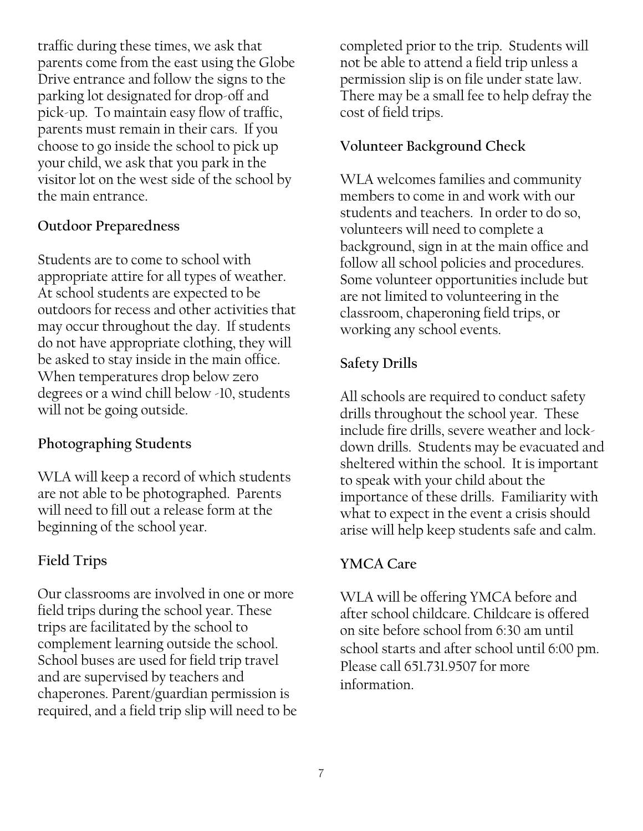traffic during these times, we ask that parents come from the east using the Globe Drive entrance and follow the signs to the parking lot designated for drop-off and pick-up. To maintain easy flow of traffic, parents must remain in their cars. If you choose to go inside the school to pick up your child, we ask that you park in the visitor lot on the west side of the school by the main entrance.

#### **Outdoor Preparedness**

Students are to come to school with appropriate attire for all types of weather. At school students are expected to be outdoors for recess and other activities that may occur throughout the day. If students do not have appropriate clothing, they will be asked to stay inside in the main office. When temperatures drop below zero degrees or a wind chill below -10, students will not be going outside.

#### **Photographing Students**

WLA will keep a record of which students are not able to be photographed. Parents will need to fill out a release form at the beginning of the school year.

#### **Field Trips**

Our classrooms are involved in one or more field trips during the school year. These trips are facilitated by the school to complement learning outside the school. School buses are used for field trip travel and are supervised by teachers and chaperones. Parent/guardian permission is required, and a field trip slip will need to be completed prior to the trip. Students will not be able to attend a field trip unless a permission slip is on file under state law. There may be a small fee to help defray the cost of field trips.

#### **Volunteer Background Check**

WLA welcomes families and community members to come in and work with our students and teachers. In order to do so, volunteers will need to complete a background, sign in at the main office and follow all school policies and procedures. Some volunteer opportunities include but are not limited to volunteering in the classroom, chaperoning field trips, or working any school events.

#### **Safety Drills**

All schools are required to conduct safety drills throughout the school year. These include fire drills, severe weather and lockdown drills. Students may be evacuated and sheltered within the school. It is important to speak with your child about the importance of these drills. Familiarity with what to expect in the event a crisis should arise will help keep students safe and calm.

#### **YMCA Care**

WLA will be offering YMCA before and after school childcare. Childcare is offered on site before school from 6:30 am until school starts and after school until 6:00 pm. Please call 651.731.9507 for more information.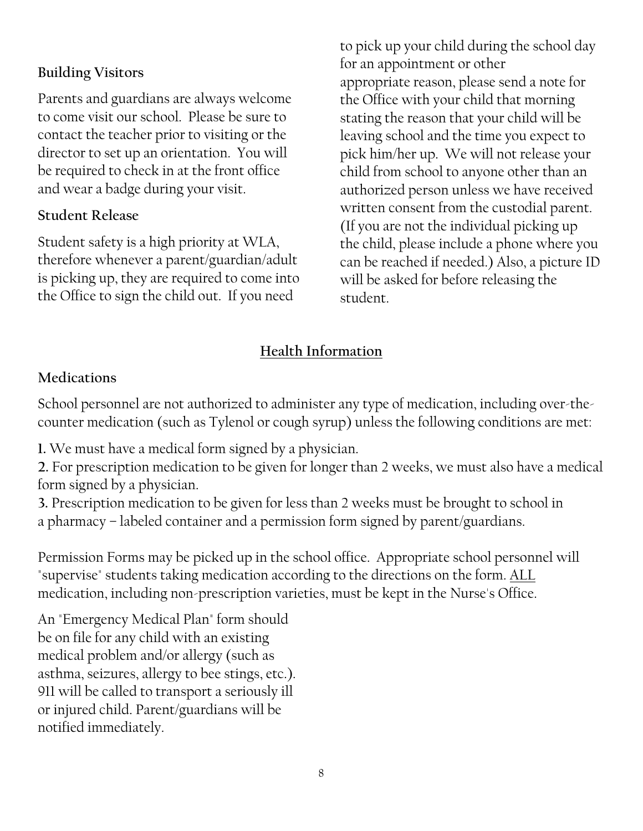## **Building Visitors**

Parents and guardians are always welcome to come visit our school. Please be sure to contact the teacher prior to visiting or the director to set up an orientation. You will be required to check in at the front office and wear a badge during your visit.

#### **Student Release**

Student safety is a high priority at WLA, therefore whenever a parent/guardian/adult is picking up, they are required to come into the Office to sign the child out. If you need

to pick up your child during the school day for an appointment or other appropriate reason, please send a note for the Office with your child that morning stating the reason that your child will be leaving school and the time you expect to pick him/her up. We will not release your child from school to anyone other than an authorized person unless we have received written consent from the custodial parent. (If you are not the individual picking up the child, please include a phone where you can be reached if needed.) Also, a picture ID will be asked for before releasing the student.

# **Health Information**

#### **Medications**

School personnel are not authorized to administer any type of medication, including over-thecounter medication (such as Tylenol or cough syrup) unless the following conditions are met:

**1.** We must have a medical form signed by a physician.

**2.** For prescription medication to be given for longer than 2 weeks, we must also have a medical form signed by a physician.

**3.** Prescription medication to be given for less than 2 weeks must be brought to school in a pharmacy – labeled container and a permission form signed by parent/guardians.

Permission Forms may be picked up in the school office. Appropriate school personnel will "supervise" students taking medication according to the directions on the form. ALL medication, including non-prescription varieties, must be kept in the Nurse's Office.

An "Emergency Medical Plan" form should be on file for any child with an existing medical problem and/or allergy (such as asthma, seizures, allergy to bee stings, etc.). 911 will be called to transport a seriously ill or injured child. Parent/guardians will be notified immediately.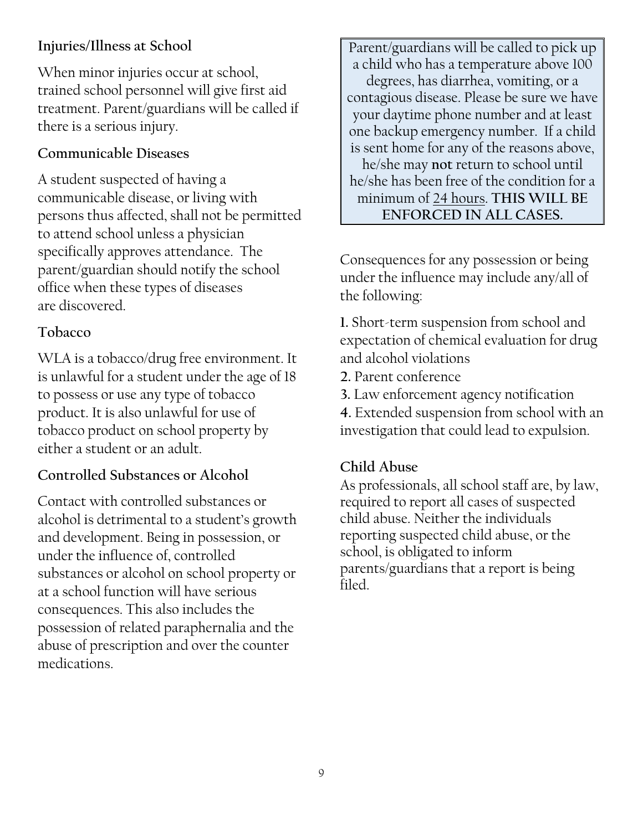# **Injuries/Illness at School**

When minor injuries occur at school, trained school personnel will give first aid treatment. Parent/guardians will be called if there is a serious injury.

#### **Communicable Diseases**

A student suspected of having a communicable disease, or living with persons thus affected, shall not be permitted to attend school unless a physician specifically approves attendance. The parent/guardian should notify the school office when these types of diseases are discovered.

#### **Tobacco**

WLA is a tobacco/drug free environment. It is unlawful for a student under the age of 18 to possess or use any type of tobacco product. It is also unlawful for use of tobacco product on school property by either a student or an adult.

### **Controlled Substances or Alcohol**

Contact with controlled substances or alcohol is detrimental to a student's growth and development. Being in possession, or under the influence of, controlled substances or alcohol on school property or at a school function will have serious consequences. This also includes the possession of related paraphernalia and the abuse of prescription and over the counter medications.

Parent/guardians will be called to pick up a child who has a temperature above 100 degrees, has diarrhea, vomiting, or a contagious disease. Please be sure we have your daytime phone number and at least one backup emergency number. If a child is sent home for any of the reasons above, he/she may **not** return to school until he/she has been free of the condition for a minimum of 24 hours. **THIS WILL BE ENFORCED IN ALL CASES.**

### Consequences for any possession or being under the influence may include any/all of the following:

**1.** Short-term suspension from school and expectation of chemical evaluation for drug and alcohol violations

**2.** Parent conference

**3.** Law enforcement agency notification

**4.** Extended suspension from school with an investigation that could lead to expulsion.

#### **Child Abuse**

As professionals, all school staff are, by law, required to report all cases of suspected child abuse. Neither the individuals reporting suspected child abuse, or the school, is obligated to inform parents/guardians that a report is being filed.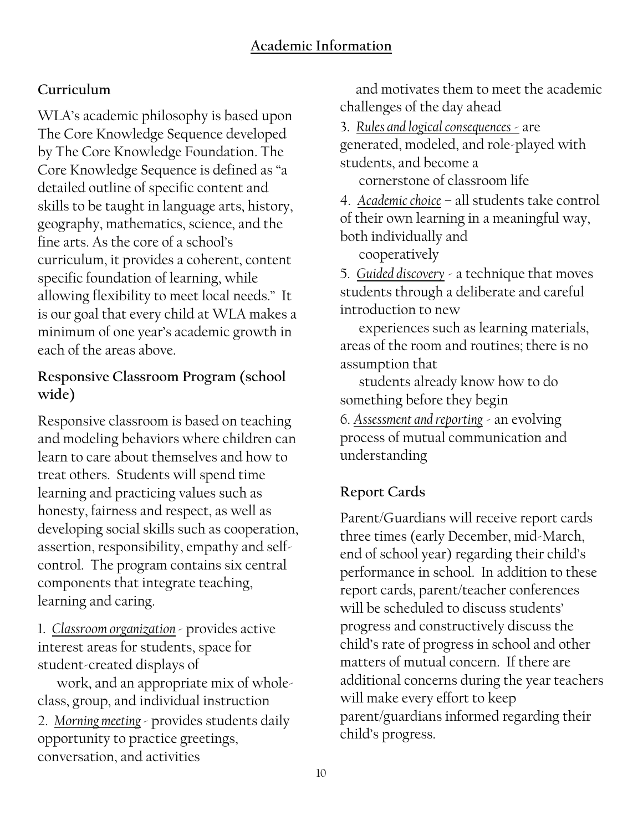# **Curriculum**

WLA's academic philosophy is based upon The Core Knowledge Sequence developed by The Core Knowledge Foundation. The Core Knowledge Sequence is defined as "a detailed outline of specific content and skills to be taught in language arts, history, geography, mathematics, science, and the fine arts. As the core of a school's curriculum, it provides a coherent, content specific foundation of learning, while allowing flexibility to meet local needs." It is our goal that every child at WLA makes a minimum of one year's academic growth in each of the areas above.

# **Responsive Classroom Program (school wide)**

Responsive classroom is based on teaching and modeling behaviors where children can learn to care about themselves and how to treat others. Students will spend time learning and practicing values such as honesty, fairness and respect, as well as developing social skills such as cooperation, assertion, responsibility, empathy and selfcontrol. The program contains six central components that integrate teaching, learning and caring.

1. *Classroom organization* - provides active interest areas for students, space for student-created displays of

 work, and an appropriate mix of wholeclass, group, and individual instruction 2. *Morning meeting*- provides students daily opportunity to practice greetings, conversation, and activities

 and motivates them to meet the academic challenges of the day ahead

3. *Rules and logical consequences* - are generated, modeled, and role-played with students, and become a

cornerstone of classroom life

4. *Academic choice* – all students take control of their own learning in a meaningful way, both individually and

cooperatively

5. *Guided discovery* - a technique that moves students through a deliberate and careful introduction to new

 experiences such as learning materials, areas of the room and routines; there is no assumption that

 students already know how to do something before they begin

6. *Assessment and reporting* - an evolving process of mutual communication and understanding

# **Report Cards**

Parent/Guardians will receive report cards three times (early December, mid-March, end of school year) regarding their child's performance in school. In addition to these report cards, parent/teacher conferences will be scheduled to discuss students' progress and constructively discuss the child's rate of progress in school and other matters of mutual concern. If there are additional concerns during the year teachers will make every effort to keep parent/guardians informed regarding their child's progress.